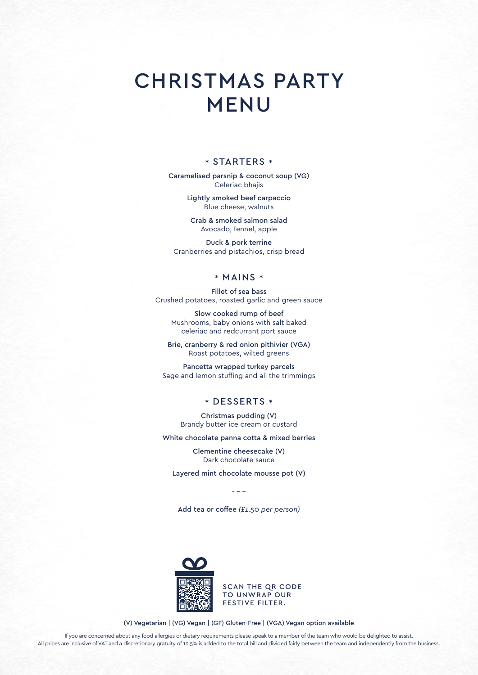## CHRISTMAS PARTY MENU

## \* STARTERS \*

Caramelised parsnip & coconut soup (VG) Celeriac bhajis

> Lightly smoked beef carpaccio Blue cheese, walnuts

Crab & smoked salmon salad Avocado, fennel, apple

Duck & pork terrine Cranberries and pistachios, crisp bread

## \* MAINS \*

Fillet of sea bass Crushed potatoes, roasted garlic and green sauce

Slow cooked rump of beef Mushrooms, baby onions with salt baked celeriac and redcurrant port sauce

Brie, cranberry & red onion pithivier (VGA) Roast potatoes, wilted greens

Pancetta wrapped turkey parcels Sage and lemon stuffing and all the trimmings

## \* DESSERTS \*

Christmas pudding (V) Brandy butter ice cream or custard

White chocolate panna cotta & mixed berries

Clementine cheesecake (V) Dark chocolate sauce

Layered mint chocolate mousse pot (V)

Add tea or coffee *(£1.50 per person)*

- - -



SCAN THE QR CODE TO UNWRAP OUR FESTIVE FILTER.

(V) Vegetarian | (VG) Vegan | (GF) Gluten-Free | (VGA) Vegan option available

If you are concerned about any food allergies or dietary requirements please speak to a member of the team who would be delighted to assist. All prices are inclusive of VAT and a discretionary gratuity of 12.5% is added to the total bill and divided fairly between the team and independently from the business.